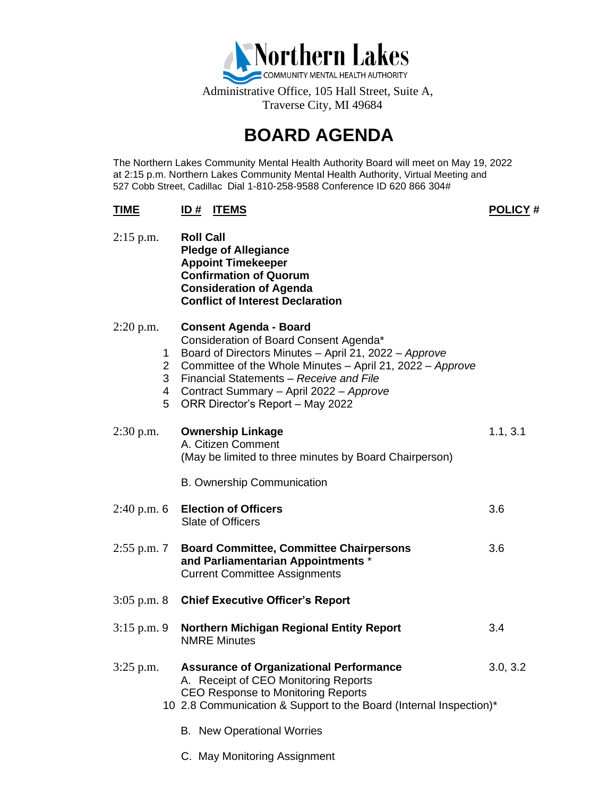

## **BOARD AGENDA**

The Northern Lakes Community Mental Health Authority Board will meet on May 19, 2022 at 2:15 p.m. Northern Lakes Community Mental Health Authority, Virtual Meeting and 527 Cobb Street, Cadillac Dial 1-810-258-9588 Conference ID 620 866 304#

## **TIME ID # ITEMS POLICY #**

| $2:15$ p.m.   |                                    | <b>Roll Call</b><br><b>Pledge of Allegiance</b><br><b>Appoint Timekeeper</b><br><b>Confirmation of Quorum</b><br><b>Consideration of Agenda</b><br><b>Conflict of Interest Declaration</b>                                                                                                                              |          |
|---------------|------------------------------------|-------------------------------------------------------------------------------------------------------------------------------------------------------------------------------------------------------------------------------------------------------------------------------------------------------------------------|----------|
| $2:20$ p.m.   | 1<br>$\overline{2}$<br>3<br>4<br>5 | <b>Consent Agenda - Board</b><br>Consideration of Board Consent Agenda*<br>Board of Directors Minutes - April 21, 2022 - Approve<br>Committee of the Whole Minutes - April 21, 2022 - Approve<br>Financial Statements - Receive and File<br>Contract Summary - April 2022 - Approve<br>ORR Director's Report - May 2022 |          |
| $2:30$ p.m.   |                                    | <b>Ownership Linkage</b><br>A. Citizen Comment<br>(May be limited to three minutes by Board Chairperson)                                                                                                                                                                                                                | 1.1, 3.1 |
|               |                                    | <b>B.</b> Ownership Communication                                                                                                                                                                                                                                                                                       |          |
| $2:40$ p.m. 6 |                                    | <b>Election of Officers</b><br>Slate of Officers                                                                                                                                                                                                                                                                        | 3.6      |
| $2:55$ p.m. 7 |                                    | <b>Board Committee, Committee Chairpersons</b><br>and Parliamentarian Appointments *<br><b>Current Committee Assignments</b>                                                                                                                                                                                            | 3.6      |
| $3:05$ p.m. 8 |                                    | <b>Chief Executive Officer's Report</b>                                                                                                                                                                                                                                                                                 |          |
| $3:15$ p.m. 9 |                                    | <b>Northern Michigan Regional Entity Report</b><br><b>NMRE Minutes</b>                                                                                                                                                                                                                                                  | 3.4      |
| $3:25$ p.m.   |                                    | <b>Assurance of Organizational Performance</b><br>A. Receipt of CEO Monitoring Reports<br><b>CEO Response to Monitoring Reports</b><br>10 2.8 Communication & Support to the Board (Internal Inspection)*                                                                                                               | 3.0, 3.2 |
|               |                                    | <b>B.</b> New Operational Worries                                                                                                                                                                                                                                                                                       |          |
|               |                                    |                                                                                                                                                                                                                                                                                                                         |          |

C. May Monitoring Assignment